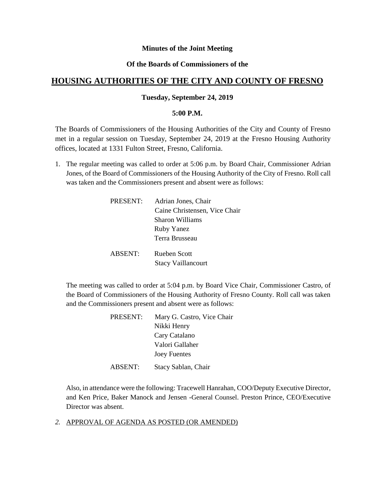### **Minutes of the Joint Meeting**

### **Of the Boards of Commissioners of the**

# **HOUSING AUTHORITIES OF THE CITY AND COUNTY OF FRESNO**

### **Tuesday, September 24, 2019**

#### **5:00 P.M.**

The Boards of Commissioners of the Housing Authorities of the City and County of Fresno met in a regular session on Tuesday, September 24, 2019 at the Fresno Housing Authority offices, located at 1331 Fulton Street, Fresno, California.

1. The regular meeting was called to order at 5:06 p.m. by Board Chair, Commissioner Adrian Jones, of the Board of Commissioners of the Housing Authority of the City of Fresno. Roll call was taken and the Commissioners present and absent were as follows:

| PRESENT:       | Adrian Jones, Chair           |
|----------------|-------------------------------|
|                | Caine Christensen, Vice Chair |
|                | <b>Sharon Williams</b>        |
|                | <b>Ruby Yanez</b>             |
|                | Terra Brusseau                |
| <b>ABSENT:</b> | <b>Rueben Scott</b>           |
|                | <b>Stacy Vaillancourt</b>     |

The meeting was called to order at 5:04 p.m. by Board Vice Chair, Commissioner Castro, of the Board of Commissioners of the Housing Authority of Fresno County. Roll call was taken and the Commissioners present and absent were as follows:

| PRESENT: | Mary G. Castro, Vice Chair |
|----------|----------------------------|
|          | Nikki Henry                |
|          | Cary Catalano              |
|          | Valori Gallaher            |
|          | <b>Joey Fuentes</b>        |
| ABSENT:  | Stacy Sablan, Chair        |

Also, in attendance were the following: Tracewell Hanrahan, COO/Deputy Executive Director, and Ken Price, Baker Manock and Jensen -General Counsel. Preston Prince, CEO/Executive Director was absent.

*2.* APPROVAL OF AGENDA AS POSTED (OR AMENDED)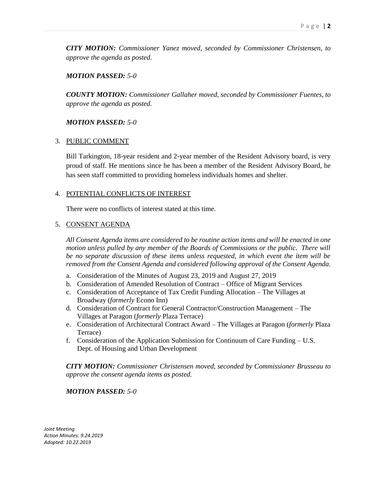*CITY MOTION: Commissioner Yanez moved, seconded by Commissioner Christensen, to approve the agenda as posted.*

### *MOTION PASSED: 5-0*

*COUNTY MOTION: Commissioner Gallaher moved, seconded by Commissioner Fuentes, to approve the agenda as posted.*

### *MOTION PASSED: 5-0*

### 3. PUBLIC COMMENT

Bill Tarkington, 18-year resident and 2-year member of the Resident Advisory board, is very proud of staff. He mentions since he has been a member of the Resident Advisory Board, he has seen staff committed to providing homeless individuals homes and shelter.

### 4. POTENTIAL CONFLICTS OF INTEREST

There were no conflicts of interest stated at this time.

### 5. CONSENT AGENDA

*All Consent Agenda items are considered to be routine action items and will be enacted in one motion unless pulled by any member of the Boards of Commissions or the public. There will be no separate discussion of these items unless requested, in which event the item will be removed from the Consent Agenda and considered following approval of the Consent Agenda.*

- a. Consideration of the Minutes of August 23, 2019 and August 27, 2019
- b. Consideration of Amended Resolution of Contract Office of Migrant Services
- c. Consideration of Acceptance of Tax Credit Funding Allocation The Villages at Broadway (*formerly* Econo Inn)
- d. Consideration of Contract for General Contractor/Construction Management The Villages at Paragon (*formerly* Plaza Terrace)
- e. Consideration of Architectural Contract Award The Villages at Paragon (*formerly* Plaza Terrace)
- f. Consideration of the Application Submission for Continuum of Care Funding U.S. Dept. of Housing and Urban Development

*CITY MOTION: Commissioner Christensen moved, seconded by Commissioner Brusseau to approve the consent agenda items as posted.*

### *MOTION PASSED: 5-0*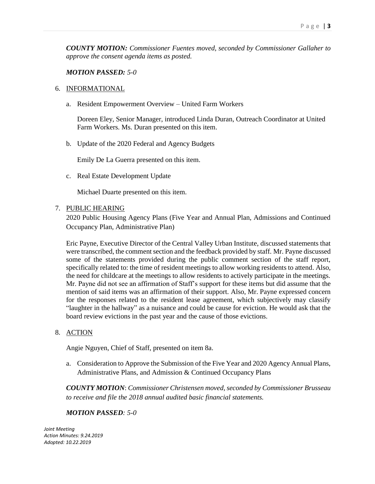*COUNTY MOTION: Commissioner Fuentes moved, seconded by Commissioner Gallaher to approve the consent agenda items as posted.*

#### *MOTION PASSED: 5-0*

#### 6. INFORMATIONAL

a. Resident Empowerment Overview – United Farm Workers

Doreen Eley, Senior Manager, introduced Linda Duran, Outreach Coordinator at United Farm Workers. Ms. Duran presented on this item.

b. Update of the 2020 Federal and Agency Budgets

Emily De La Guerra presented on this item.

c. Real Estate Development Update

Michael Duarte presented on this item.

7. PUBLIC HEARING

2020 Public Housing Agency Plans (Five Year and Annual Plan, Admissions and Continued Occupancy Plan, Administrative Plan)

Eric Payne, Executive Director of the Central Valley Urban Institute, discussed statements that were transcribed, the comment section and the feedback provided by staff. Mr. Payne discussed some of the statements provided during the public comment section of the staff report, specifically related to: the time of resident meetings to allow working residents to attend. Also, the need for childcare at the meetings to allow residents to actively participate in the meetings. Mr. Payne did not see an affirmation of Staff's support for these items but did assume that the mention of said items was an affirmation of their support. Also, Mr. Payne expressed concern for the responses related to the resident lease agreement, which subjectively may classify "laughter in the hallway" as a nuisance and could be cause for eviction. He would ask that the board review evictions in the past year and the cause of those evictions.

## 8. ACTION

Angie Nguyen, Chief of Staff, presented on item 8a.

a. Consideration to Approve the Submission of the Five Year and 2020 Agency Annual Plans, Administrative Plans, and Admission & Continued Occupancy Plans

*COUNTY MOTION*: *Commissioner Christensen moved, seconded by Commissioner Brusseau to receive and file the 2018 annual audited basic financial statements.*

#### *MOTION PASSED: 5-0*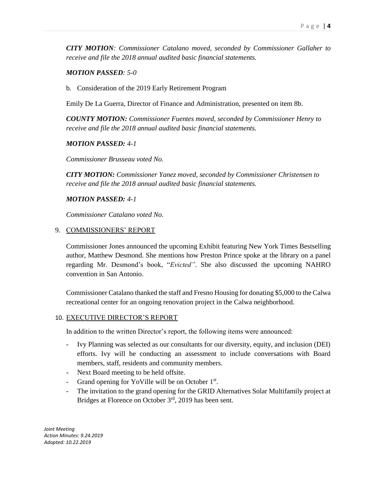*CITY MOTION: Commissioner Catalano moved, seconded by Commissioner Gallaher to receive and file the 2018 annual audited basic financial statements.*

### *MOTION PASSED: 5-0*

b. Consideration of the 2019 Early Retirement Program

Emily De La Guerra, Director of Finance and Administration, presented on item 8b.

*COUNTY MOTION: Commissioner Fuentes moved, seconded by Commissioner Henry to receive and file the 2018 annual audited basic financial statements.*

### *MOTION PASSED: 4-1*

*Commissioner Brusseau voted No.* 

*CITY MOTION: Commissioner Yanez moved, seconded by Commissioner Christensen to receive and file the 2018 annual audited basic financial statements.*

### *MOTION PASSED: 4-1*

*Commissioner Catalano voted No.* 

### 9. COMMISSIONERS' REPORT

Commissioner Jones announced the upcoming Exhibit featuring New York Times Bestselling author, Matthew Desmond. She mentions how Preston Prince spoke at the library on a panel regarding Mr. Desmond's book, "*Evicted"*. She also discussed the upcoming NAHRO convention in San Antonio.

Commissioner Catalano thanked the staff and Fresno Housing for donating \$5,000 to the Calwa recreational center for an ongoing renovation project in the Calwa neighborhood.

### 10. EXECUTIVE DIRECTOR'S REPORT

In addition to the written Director's report, the following items were announced:

- Ivy Planning was selected as our consultants for our diversity, equity, and inclusion (DEI) efforts. Ivy will be conducting an assessment to include conversations with Board members, staff, residents and community members.
- Next Board meeting to be held offsite.
- Grand opening for YoVille will be on October 1<sup>st</sup>.
- The invitation to the grand opening for the GRID Alternatives Solar Multifamily project at Bridges at Florence on October 3rd, 2019 has been sent.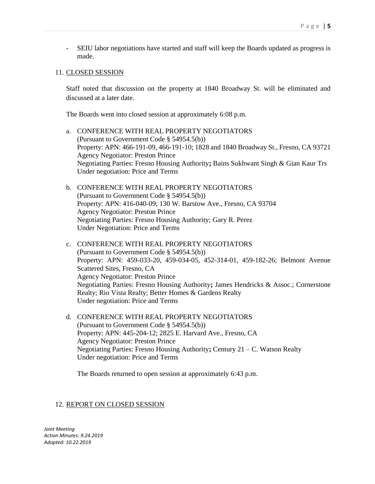- SEIU labor negotiations have started and staff will keep the Boards updated as progress is made.

#### 11. CLOSED SESSION

Staff noted that discussion on the property at 1840 Broadway St. will be eliminated and discussed at a later date.

The Boards went into closed session at approximately 6:08 p.m.

- a. CONFERENCE WITH REAL PROPERTY NEGOTIATORS (Pursuant to Government Code § 54954.5(b)) Property: APN: 466-191-09, 466-191-10; 1828 and 1840 Broadway St., Fresno, CA 93721 Agency Negotiator: Preston Prince Negotiating Parties: Fresno Housing Authority**;** Bains Sukhwant Singh & Gian Kaur Trs Under negotiation: Price and Terms
- b. CONFERENCE WITH REAL PROPERTY NEGOTIATORS (Pursuant to Government Code § 54954.5(b)) Property: APN: 416-040-09; 130 W. Barstow Ave., Fresno, CA 93704 Agency Negotiator: Preston Prince Negotiating Parties: Fresno Housing Authority; Gary R. Perez Under Negotiation: Price and Terms
- c. CONFERENCE WITH REAL PROPERTY NEGOTIATORS (Pursuant to Government Code § 54954.5(b)) Property: APN: 459-033-20, 459-034-05, 452-314-01, 459-182-26; Belmont Avenue Scattered Sites, Fresno, CA Agency Negotiator: Preston Prince Negotiating Parties: Fresno Housing Authority**;** James Hendricks & Assoc.; Cornerstone Realty; Rio Vista Realty; Better Homes & Gardens Realty Under negotiation: Price and Terms
- d. CONFERENCE WITH REAL PROPERTY NEGOTIATORS (Pursuant to Government Code § 54954.5(b)) Property: APN: 445-204-12; 2825 E. Harvard Ave., Fresno, CA Agency Negotiator: Preston Prince Negotiating Parties: Fresno Housing Authority**;** Century 21 – C. Watson Realty Under negotiation: Price and Terms

The Boards returned to open session at approximately 6:43 p.m.

### 12. REPORT ON CLOSED SESSION